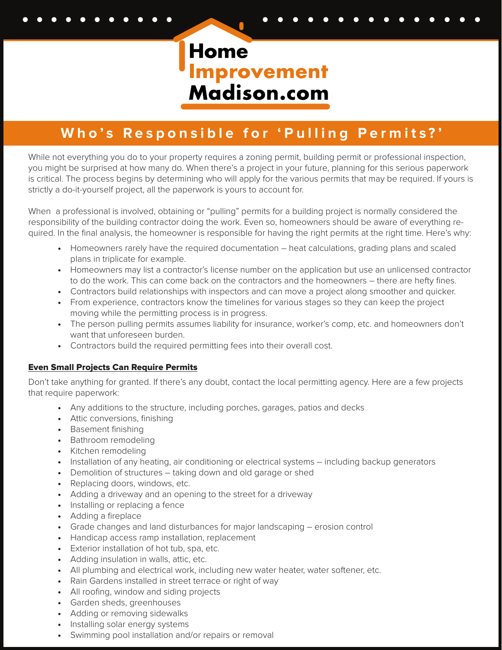Home **Improvement**<br>Madison.com

## **Who's Responsible for 'Pulling Permits?'**

While not everything you do to your property requires a zoning permit, building permit or professional inspection, you might be surprised at how many do. When there's a project in your future, planning for this serious paperwork is critical. The process begins by determining who will apply for the various permits that may be required. If yours is strictly a do-it-yourself project, all the paperwork is yours to account for.

When a professional is involved, obtaining or "pulling" permits for a building project is normally considered the responsibility of the building contractor doing the work. Even so, homeowners should be aware of everything required. In the final analysis, the homeowner is responsible for having the right permits at the right time. Here's why:

- Homeowners rarely have the required documentation heat calculations, grading plans and scaled plans in triplicate for example.
- Homeowners may list a contractor's license number on the application but use an unlicensed contractor to do the work. This can come back on the contractors and the homeowners – there are hefty fines.
- Contractors build relationships with inspectors and can move a project along smoother and quicker.
- From experience, contractors know the timelines for various stages so they can keep the project moving while the permitting process is in progress.
- The person pulling permits assumes liability for insurance, worker's comp, etc. and homeowners don't want that unforeseen burden.
- Contractors build the required permitting fees into their overall cost.

#### Even Small Projects Can Require Permits

Don't take anything for granted. If there's any doubt, contact the local permitting agency. Here are a few projects that require paperwork:

- Any additions to the structure, including porches, garages, patios and decks
- Attic conversions, finishing
- Basement finishing
- Bathroom remodeling
- Kitchen remodeling
- Installation of any heating, air conditioning or electrical systems including backup generators
- Demolition of structures taking down and old garage or shed
- Replacing doors, windows, etc.
- Adding a driveway and an opening to the street for a driveway
- Installing or replacing a fence
- Adding a fireplace
- Grade changes and land disturbances for major landscaping erosion control
- Handicap access ramp installation, replacement
- Exterior installation of hot tub, spa, etc.
- Adding insulation in walls, attic, etc.
- All plumbing and electrical work, including new water heater, water softener, etc.
- Rain Gardens installed in street terrace or right of way
- All roofing, window and siding projects
- Garden sheds, greenhouses
- Adding or removing sidewalks
- Installing solar energy systems
- Swimming pool installation and/or repairs or removal